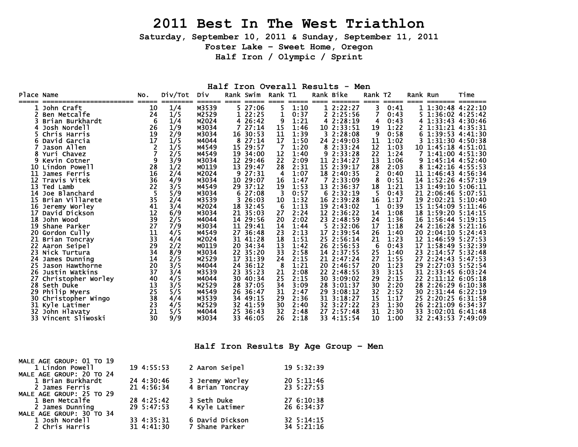# **2011 Best In The West Triathlon**

**Saturday, September 10, 2011 & Sunday, September 11, 2011** 

**Foster Lake – Sweet Home, Oregon** 

**Half Iron / Olympic / Sprint** 

#### **Half Iron Overall Results - Men**

| Place Name |                     | NO.             | Div/Tot | Div             |         | Rank Swim        | Rank T1     |               |      | Rank Bike            | Rank T2        |      | Rank Run |                              | Time            |
|------------|---------------------|-----------------|---------|-----------------|---------|------------------|-------------|---------------|------|----------------------|----------------|------|----------|------------------------------|-----------------|
| =====      | John Craft          | $=====$<br>10   | 1/4     | ======<br>M3539 | $== ==$ | =====<br>5 27:06 | $====$<br>5 | =====<br>1:10 | ==== | =======<br>1 2:22:27 | $====$<br>3    | 0:41 | $====$   | =======<br>1 1:30:48 4:22:10 | =======         |
|            | Ben Metcalfe        | 24              | 1/5     | M2529           |         | 1 22:25          | 1           | 0:37          |      | 2 2:25:56            | 7              | 0:43 |          | 5 1:36:02 4:25:42            |                 |
|            | Brian Burkhardt     | -6              | 1/4     | M2024           |         | 4 26:42          | 9           | 1:21          |      | 4 2:28:19            | 4              | 0:43 |          | 4 1:33:43 4:30:46            |                 |
|            | Josh Nordell        | 26              | 1/9     | M3034           |         | 27:14            | 15          | 1:46          |      | 10 2:33:51           | 19             | 1:22 |          |                              | 1:31:21 4:35:31 |
|            | Chris Harris        | 19              | 2/9     | M3034           | 16      | 30:53            | 11          | 1:39          |      | 3 2:28:08            | 9              | 0:58 | 6        |                              | 1:39:53 4:41:30 |
|            | David Garcia        | 17              | 1/5     | M4044           | 8       | 27:14            | 17          | 1:50          |      | 24 2:49:03           | 11             | 1:02 |          | 1:31:30 4:50:38              |                 |
|            | Jason Allen         |                 | 1/5     | M4549           |         | 15 29:57         | - 7         | 1:20          |      | 8 2:33:24            | 12             | 1:03 |          | 10 1:45:18 4:51:01           |                 |
|            |                     |                 |         |                 |         |                  | 12          | 1:40          |      |                      | 22             | 1:24 |          | 1:41:00 4:51:30              |                 |
|            | Yuri Chavez         |                 | 2/5     | M4549           |         | 19 34:00         | 22          |               |      | 9 2:33:28            |                |      |          |                              |                 |
|            | Kevin Cotner        | 9               | 3/9     | M3034           |         | 12 29:46         |             | 2:09          |      | 11 2:34:27           | 13             | 1:06 |          | 9 1:45:14 4:52:40            |                 |
| 10         | Lindon Powell       | 28              | 1/2     | M0119           | 13      | 29:47            | 28          | 2:31          |      | 15 2:39:17           | 28             | 2:03 | 8        |                              | 1:42:16 4:55:53 |
| 11         | James Ferris        | 16              | 2/4     | M2024           | 9       | 27:31            | 4           | 1:07          |      | 18 2:40:35           | $\overline{2}$ | 0:40 | 11       | 1:46:43 4:56:34              |                 |
|            | Travis Vitek        | 36              | 4/9     | M3034           | 10      | 29:07            | 16          | 1:47          |      | 7 2:33:09            | 8              | 0:51 | 14       | 1:52:26 4:57:19              |                 |
| 13         | Ted Lamb            | $\overline{22}$ | 3/5     | M4549           | 29      | 37:12            | 19          | 1:53          |      | 13 2:36:37           | 18             | 1:21 | 13       |                              | 1:49:10 5:06:11 |
| 14         | Joe Blanchard       | 5               | 5/9     | M3034           | 6.      | 27:08            |             | 0:57          |      | 62:32:19             | -5             | 0:43 | 21       | 2:06:46 5:07:51              |                 |
| 15         | Brian Villarete     | 35              | 2/4     | M3539           |         | 26:03            | 10          | 1:32          |      | 16 2:39:28           | 16             | 1:17 |          | 19 2:02:21 5:10:40           |                 |
| 16         | Jeremy Worley       | 41              | 3/4     | M2024           |         | 18 32:45         | -6          | 1:13          |      | 19 2:43:02           | -1             | 0:39 |          | 15 1:54:09 5:11:46           |                 |
| 17         | David Dickson       | 12              | 6/9     | M3034           |         | 21 35:03         | 27          | 2:24          |      | 12 2:36:22           | 14             | 1:08 |          | 18 1:59:20 5:14:15           |                 |
| 18         | John Wood           | 39              | 2/5     | M4044           | 14      | 29:56            | 20          | 2:02          |      | 23 2:48:59           | 24             | 1:36 |          | 16 1:56:44 5:19:15           |                 |
| 19         | Shane Parker        | 27              | 7/9     | M3034           | 11      | 29:41            | 14          | 1:44          |      | 5 2:32:06            | 17             | 1:18 | 24       | 2:16:28 5:21:16              |                 |
| 20         | Gordon Cully        | 11              | 4/5     | M4549           | 27      | 36:48            | 23          | 2:13          |      | 17 2:39:54           | 26             | 1:40 | 20       |                              | 2:04:10 5:24:43 |
| 21         | Brian Toncray       | 33              | 4/4     | M2024           | 31      | 41:28            | 18          | 1:51          |      | 25 2:56:14           | 21             | 1:23 | 12       | 1:46:59 5:27:53              |                 |
|            | 22 Aaron Seipel     | 29              | 2/2     | M0119           | 20      | 34:34            | 13          | 1:42          |      | 26 2:56:53           | -6             | 0:43 |          | 17 1:58:49 5:32:39           |                 |
| 23         | Nick Turtura        | 34              | 8/9     | M3034           |         | 22 35:20         | 33          | 2:58          |      | 14 2:37:55           | 25             | 1:40 | 23       | 2:14:57 5:32:48              |                 |
| 24         | James Dunning       | 14              | 2/5     | M2529           | 17      | 31:39            | 24          | 2:15          |      | 21 2:47:24           | 27             | 1:55 | 27       | 2:24:43 5:47:53              |                 |
| 25         | Jason Hawthorne     | 20              | 3/5     | M4044           |         | 24 36:12         | -8          | 1:21          |      | 20 2:46:57           | 20             | 1:23 | 29       |                              | 2:27:03 5:52:54 |
| 26         | Justin Watkins      | 37              | 3/4     | M3539           |         | 23 35:23         | 21          | 2:08          |      | 22 2:48:55           | 33             | 3:15 | 31       | 2:33:45 6:03:24              |                 |
| 27         | Christopher Worley  | 40              | 4/5     | M4044           | 30      | 40:34            | 25          | 2:15          |      | 30 3:09:02           | 29             | 2:15 | 22       |                              | 2:11:12 6:05:18 |
| 28         | Seth Duke           | 13              | 3/5     | M2529           | 28      | 37:05            | 34          | 3:09          |      | 28 3:01:37           | 30             | 2:20 | 28       |                              | 2:26:29 6:10:38 |
| 29         | Philip Myers        | 25              | 5/5     | M4549           | 26      | 36:47            | 31          | 2:47          |      | 29 3:08:12           | 32             | 2:52 |          | 30 2:31:44 6:22:19           |                 |
| 30         | Christopher Wingo   | $\overline{38}$ | 4/4     | M3539           |         | 34 49:15         | 29          | 2:36          |      | 31 3:18:27           | 15             | 1:17 |          | 25 2:20:25 6:31:58           |                 |
| 31         | Kyle Latimer        | 23              | 4/5     | M2529           |         | 32 41:59         | 30          | 2:40          |      | 32 3:27:22           | 23             | 1:30 |          | 26 2:21:09 6:34:37           |                 |
| 32.        | John Hlavaty        | 21              | 5/5     | M4044           | 25      | 36:43            | 32          | 2:48          |      | 27 2:57:48           | 31             | 2:30 | 33       |                              | 3:02:01 6:41:48 |
|            | 33 Vincent Sliwoski | 30              | 9/9     | M3034           |         | 33 46:05         | 26          | 2:18          |      | 33 4:15:54           | 10             | 1:00 |          | 32 2:43:53 7:49:09           |                 |

**Half Iron Results By Age Group – Men** 

| MALE AGE GROUP: 01 TO 19 |            |                 |                    |
|--------------------------|------------|-----------------|--------------------|
| 1 Lindon Powell          | 19 4:55:53 | 2 Aaron Seipel  | 19 5:32:39         |
| MALE AGE GROUP: 20 TO 24 |            |                 |                    |
| 1 Brian Burkhardt        | 24 4:30:46 | 3 Jeremy Worley | 20.5:11:46         |
| 2 James Ferris           | 21 4:56:34 | 4 Brian Toncray | 23 5:27:53         |
| MALE AGE GROUP: 25 TO 29 |            |                 |                    |
| 1 Ben Metcalfe           | 28 4:25:42 | 3 Seth Duke     | 27 6:10:38         |
| 2 James Dunning          | 29 5:47:53 | 4 Kyle Latimer  | 26 6:34:37         |
| MALE AGE GROUP: 30 TO 34 |            |                 |                    |
| 1 Josh Nordell           | 33 4:35:31 | 6 David Dickson | $32 \cdot 5:14:15$ |
| 2 Chris Harris           | 31 4:41:30 | 7 Shane Parker  | 34 5:21:16         |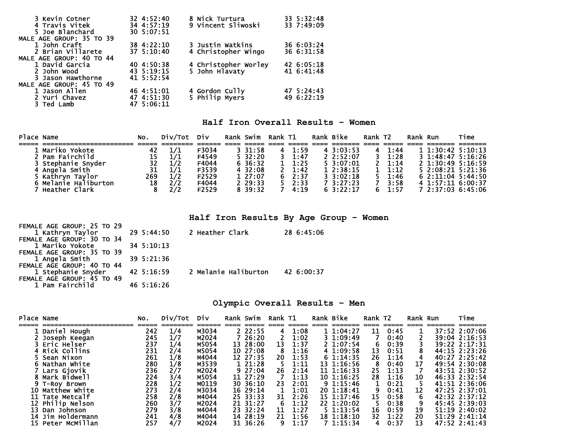| 3 Kevin Cotner           | $32 \, 4:52:40$ | 8 Nick Turtura       | 33 5:32:48 |
|--------------------------|-----------------|----------------------|------------|
| 4 Travis Vitek           | 34 4:57:19      | 9 Vincent Sliwoski   | 33 7:49:09 |
| 5 Joe Blanchard          | 30 5:07:51      |                      |            |
| MALE AGE GROUP: 35 TO 39 |                 |                      |            |
| 1 John Craft             | 38 4:22:10      | 3 Justin Watkins     | 36 6:03:24 |
| 2 Brian Villarete        | 37 5:10:40      | 4 Christopher Wingo  | 36 6:31:58 |
| MALE AGE GROUP: 40 TO 44 |                 |                      |            |
| 1 David Garcia           | 40 4:50:38      | 4 Christopher Worley | 42 6:05:18 |
| 2 John Wood              | 43 5:19:15      | 5 John Hlavaty       | 41 6:41:48 |
| 3 Jason Hawthorne        | 41 5:52:54      |                      |            |
| MALE AGE GROUP: 45 TO 49 |                 |                      |            |
| 1 Jason Allen            | 46 4:51:01      | 4 Gordon Cully       | 47 5:24:43 |
| 2 Yuri Chavez            | 47 4:51:30      | 5 Philip Myers       | 49 6:22:19 |
| 3 Ted Lamb               | 47 5:06:11      |                      |            |

### **Half Iron Overall Results – Women**

| Place Name |                      | No. | Div/Tot Div |       | Rank Swim  | Rank T1 |                | Rank Bike                     | Rank T <sub>2</sub> |                | Rank Run |                         | Time              |
|------------|----------------------|-----|-------------|-------|------------|---------|----------------|-------------------------------|---------------------|----------------|----------|-------------------------|-------------------|
|            |                      |     |             |       |            |         |                |                               |                     |                |          |                         |                   |
|            | 1 Mariko Yokote      | 42  | 1/1         | F3034 | 331:58     |         | 4 1:59         | $4 \cdot 3:03:53$             | 4                   | 1:44           |          | $11:30:42 \t 5:10:13$   |                   |
|            | 2 Pam Fairchild      | 15  |             | F4549 | $5\,32:20$ |         | 1:47           | 2.2:52:07                     | 3 I                 | 1:28           |          |                         | 3 1:48:47 5:16:26 |
|            | 3 Stephanie Snyder   | 32  | 1/2         | F4044 | 6 36:32    |         | $1 \quad 1:25$ | $5 \, 3:07:01$                |                     | $2 \quad 1:14$ |          | $2 \t1:30:49 \t5:16:59$ |                   |
|            | 4 Angela Smith       | 31  |             | F3539 | 4 32:08    |         | $2 \quad 1:42$ | 12:38:15                      |                     | 1:12           |          |                         | 5 2:08:21 5:21:36 |
|            | 5 Kathryn Taylor     | 269 | 1/2         | F2529 | 127:07     |         | 62:37          | $3 \cdot 3 \cdot 02 \cdot 18$ |                     | 1:46           |          |                         | 62:11:045:44:50   |
|            | 6 Melanie Haliburton | 18  | 2/2         | F4044 | 2 29:33    |         | $5 \quad 2:33$ | 7 3:27:23                     |                     | 3:58           |          | 4 1:57:11 6:00:37       |                   |
|            | Heather Clark        |     |             | F2529 | 8 39:32    |         | 4:19           | 63:22:17                      |                     | 1:57           |          |                         | 7 2:37:03 6:45:06 |

**Half Iron Results By Age Group – Women** 

| FEMALE AGE GROUP: 25 TO 29 |            |                      |            |
|----------------------------|------------|----------------------|------------|
| 1 Kathryn Taylor           | 29 5:44:50 | 2 Heather Clark      | 28 6:45:06 |
| FEMALE AGE GROUP: 30 TO 34 |            |                      |            |
| 1 Mariko Yokote            | 34 5:10:13 |                      |            |
| FEMALE AGE GROUP: 35 TO 39 |            |                      |            |
| 1 Angela Smith             | 39 5:21:36 |                      |            |
| FEMALE AGE GROUP: 40 TO 44 |            |                      |            |
| 1 Stephanie Snyder         | 42 5:16:59 | 2 Melanie Haliburton | 42 6:00:37 |
| FEMALE AGE GROUP: 45 TO 49 |            |                      |            |
| 1 Pam Fairchild            | 46 5:16:26 |                      |            |

#### **Olympic Overall Results – Men**

| Place Name |                   | NO. | Div/Tot | Div   | Rank Swim | Rank T1 |            | Rank Bike      | Rank T2 |      | Rank Run | Time          |
|------------|-------------------|-----|---------|-------|-----------|---------|------------|----------------|---------|------|----------|---------------|
|            | Daniel Hough      | 242 | 1/4     | M3034 | 22:55     | 4       | 1:08       | 1.1:04:27      | 11      | 0:45 |          | 37:52 2:07:06 |
|            | Joseph Keegan     | 245 | 1/7     | M2024 | 7 26:20   |         | 1:02       | 31:09:49       |         | 0:40 |          | 39:04 2:16:53 |
|            | 3 Eric Helser     | 237 | 1/4     | M5054 | 13 28:00  | 13      | 1:37       | $2 \t1:07:54$  | 6       | 0:39 |          | 39:22 2:17:31 |
|            | 4 Rick Collins    | 231 | 2/4     | M5054 | 10 27:08  |         | 1:16       | 4 1:09:58      | 13      | 0:51 |          | 44:15 2:23:26 |
|            | 5 Sean Nixon      | 261 | 1/8     | M4044 | 12 27:35  | 20      | 1:53       | 61:14:35       | 26      | 1:14 | 4        | 40:27 2:25:42 |
|            | Nathan White      | 280 | 1/8     | M3539 | 1 21:28   |         | $1\!:\!11$ | 13 1:16:56     |         | 0:40 | 17       | 49:54 2:30:08 |
|            | Lars Gjovik       | 236 | 2/7     | M2024 | 927:04    | 26      | 2:14       | 11 1:16:33     | 25      | 1:13 |          | 43:51 2:30:52 |
|            | Mark Bidwell      | 224 | 3/4     | M5054 | 11 27:29  |         | 1:13       | $10 \t1:16:25$ | 28      | 1:16 | 10       | 46:33 2:32:54 |
|            | 9 T-Rov Brown     | 228 | 1/2     | M0119 | 30 36:10  | 23      | 2:01       | 91:15:46       |         | 0:21 |          | 41:51 2:36:06 |
| 10         | Matthew White     | 273 | 2/4     | M3034 | 16 29:14  |         | 1:01       | 20 1:18:41     |         | 0:41 | 12       | 47:25 2:37:01 |
|            | 11 Tate Metcalf   | 258 | 2/8     | M4044 | 25 33:33  | 31      | 2:26       | 15 1:17:46     | 15      | 0:58 | 6        | 42:32 2:37:12 |
|            | 12 Philip Nelson  | 260 | 3/7     | M2024 | 21 31:27  | 6       | 1:12       | 22 1:20:02     |         | 0:38 | 9        | 45:45 2:39:03 |
| 13         | Dan Johnson       | 279 | 3/8     | M4044 | 23 32:24  | 11      | 1:27       | $5 \t1:13:54$  | 16      | 0:59 | 19       | 51:19 2:40:02 |
|            | 14 Jim Holdermann | 241 | 4/8     | M4044 | 14 28:19  | 21      | 1:56       | 18 1:18:10     | 32      | 1:22 | 20       | 51:29 2:41:14 |
|            | 15 Peter McMillan | 257 | 4/7     | M2024 | 31 36:26  | 9       | 1:17       | 71:15:34       | 4       | 0:37 | 13       | 47:52 2:41:43 |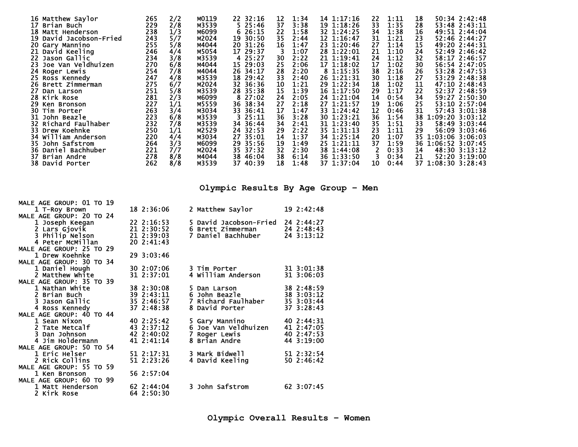|    | 16 Matthew Saylor       | 265        | 2/2 | M0119 | 22 32:16   | 12<br>1:34 | 14 1:17:16 | 22           | 1:11 | 18 | 50:34 2:42:48      |
|----|-------------------------|------------|-----|-------|------------|------------|------------|--------------|------|----|--------------------|
| 17 | Brian Buch              | 229        | 2/8 | M3539 | 525:46     | 37<br>3:38 | 19 1:18:26 | 33           | 1:35 | 28 | 53:48 2:43:11      |
|    | 18 Matt Henderson       | 238        | 1/3 | M6099 | 626:15     | 22<br>1:58 | 32 1:24:25 | 34           | 1:38 | 16 | 49:51 2:44:04      |
|    | 19 David Jacobson-Fried | 243<br>255 | 5/7 | M2024 | 19 30:50   | 35<br>2:44 | 12 1:16:47 | 31           | 1:21 | 23 | 52:46 2:44:27      |
|    | 20 Gary Mannino         |            | 5/8 | M4044 | 20 31:26   | 16<br>1:47 | 23 1:20:46 | 27           | 1:14 | 15 | 49:20 2:44:31      |
|    | 21 David Keeling        | 246        | 4/4 | M5054 | 17 29:37   | 1:07       | 28 1:22:01 | 21           | 1:10 | 24 | 52:49 2:46:42      |
|    | 22 Jason Gallic         | 234        | 3/8 | M3539 | 4 25:27    | 2:22<br>30 | 21 1:19:41 | 24           | 1:12 | 32 | 58:17 2:46:57      |
|    | 23 Joe Van Veldhuizen   | 270        | 6/8 | M4044 | 15 29:03   | 25<br>2:06 | 17 1:18:02 | 17           | 1:02 | 30 | 56:54 2:47:05      |
|    | 24 Roger Lewis          | 254        | 7/8 | M4044 | 26 34:17   | 28<br>2:20 | 8 1:15:35  | 38           | 2:16 | 26 | 53:28 2:47:53      |
|    | 25 Ross Kennedy         | 247        | 4/8 | M3539 | 18 29:42   | 33<br>2:40 | 26 1:21:31 | 30           | 1:18 | 27 | 53:29 2:48:38      |
|    | 26 Brett Zimmerman      | 275        | 6/7 | M2024 | 32 36:36   | 10<br>1:21 | 29 1:22:34 | 18           | 1:02 | 11 | 47:10 2:48:43      |
| 27 | Dan Larson              | 251        | 5/8 | M3539 | 28 35:38   | 15<br>1:39 | 16 1:17:50 | 29           | 1:17 | 22 | 52:37 2:48:59      |
|    | 28 Kirk Rose            | 281        | 2/3 | M6099 | 27:02<br>8 | 24<br>2:05 | 24 1:21:04 | 14           | 0:54 | 34 | 59:27 2:50:30      |
|    | 29 Ken Bronson          | 227        | 1/1 | M5559 | 36 38:34   | 27<br>2:18 | 27 1:21:57 | 19           | 1:06 | 25 | 53:10 2:57:04      |
|    | 30 Tim Porter           | 263        | 3/4 | M3034 | 33 36:41   | 17<br>1:47 | 33 1:24:42 | 12           | 0:46 | 31 | 57:43 3:01:38      |
|    | 31 John Beazle          | 223        | 6/8 | M3539 | 325:11     | 36<br>3:28 | 30 1:23:21 | 36           | 1:54 | 38 | 1:09:20 3:03:12    |
|    | 32 Richard Faulhaber    | 232        | 7/8 | M3539 | 34 36:44   | 34<br>2:41 | 31 1:23:40 | 35           | 1:51 | 33 | 58:49 3:03:44      |
|    | 33 Drew Koehnke         | 250        | 1/1 | M2529 | 24 32:53   | 2:22<br>29 | 35 1:31:13 | 23           | 1:11 | 29 | 56:09 3:03:46      |
|    | 34 William Anderson     | 220        | 4/4 | M3034 | 27 35:01   | 14<br>1:37 | 34 1:25:14 | 20           | 1:07 |    | 35 1:03:06 3:06:03 |
|    | 35 John Safstrom        | 264        | 3/3 | M6099 | 29 35:56   | 19<br>1:49 | 25 1:21:11 | 37           | 1:59 |    | 36 1:06:52 3:07:45 |
|    | 36 Daniel Bachhuber     | 221        | 7/7 | M2024 | 35 37:32   | 32<br>2:30 | 38 1:44:08 | $\mathbf{2}$ | 0:33 | 14 | 48:30 3:13:12      |
| 37 | Brian Andre             | 278        | 8/8 | M4044 | 38 46:04   | 38<br>6:14 | 36 1:33:50 | 3            | 0:34 | 21 | 52:20 3:19:00      |
|    | 38 David Porter         | 262        | 8/8 | M3539 | 37 40:39   | 18<br>1:48 | 37 1:37:04 | 10           | 0:44 |    | 37 1:08:30 3:28:43 |
|    |                         |            |     |       |            |            |            |              |      |    |                    |

**Olympic Results By Age Group – Men** 

| MALE AGE GROUP: 01 TO 19 |                |                                |              |
|--------------------------|----------------|--------------------------------|--------------|
| 1 T-Roy Brown            | 18 2:36:06     | 2 Matthew Saylor               | 192:12:48    |
| MALE AGE GROUP: 20 TO 24 |                |                                |              |
| 1 Joseph Keegan          | $22 \t2:16:53$ | 5 David Jacobson-Fried         | 24 2:44:27   |
| 2 Lars Gjovik            | $21$ $2:30:52$ | 6 Brett Zimmerman              | 24 2:48:43   |
| 3 Philip Nelson          | 21 2:39:03     | 7 Daniel Bachhuber             | $24$ 3:13:12 |
| 4 Peter McMillan         | $20 \t2:41:43$ |                                |              |
| MALE AGE GROUP: 25 TO 29 |                |                                |              |
| 1 Drew Koehnke           | 29 3:03:46     |                                |              |
| MALE AGE GROUP: 30 TO 34 |                |                                |              |
| 1 Daniel Hough           | 30 2:07:06     | 3 Tim Porter                   | 31 3:01:38   |
| 2 Matthew White          | 31 2:37:01     | 4 William Anderson             | 31 3:06:03   |
| MALE AGE GROUP: 35 TO 39 |                |                                |              |
| 1 Nathan White           | 38 2:30:08     | 5 Dan Larson                   | 38 2:48:59   |
| 2 Brian Buch             | 39 2:43:11     | 6 John Beazle                  | 38 3:03:12   |
| 3 Jason Gallic           | 35 2:46:57     | 7 Richard Faulhaber            | 35 3:03:44   |
| 4 Ross Kennedy           | 37 2:48:38     | 8 David Porter                 | 37 3:28:43   |
| MALE AGE GROUP: 40 TO 44 |                |                                |              |
| 1 Sean Nixon             | 40 2:25:42     | 5 Gary Mannino                 | 40 2:44:31   |
| 2 Tate Metcalf           | 43 2:37:12     | 6 Joe Van Veldhuizen           | 41 2:47:05   |
| 3 Dan Johnson            | 42 2:40:02     | 7 Roger Lewis<br>8 Brian Andre | 40 2:47:53   |
| 4 Jim Holdermann         | 41 2:41:14     |                                | 44 3:19:00   |
| MALE AGE GROUP: 50 TO 54 |                |                                |              |
| 1 Eric Helser            | 51 2:17:31     | 3 Mark Bidwell                 | 51 2:32:54   |
| 2 Rick Collins           | 51 2:23:26     | 4 David Keeling                | 50 2:46:42   |
| MALE AGE GROUP: 55 TO 59 |                |                                |              |
| 1 Ken Bronson            | 56 2:57:04     |                                |              |
| MALE AGE GROUP: 60 TO 99 |                |                                |              |
| 1 Matt Henderson         | 62 2:44:04     | 3 John Safstrom                | 62 3:07:45   |
| 2 Kirk Rose              | 64 2:50:30     |                                |              |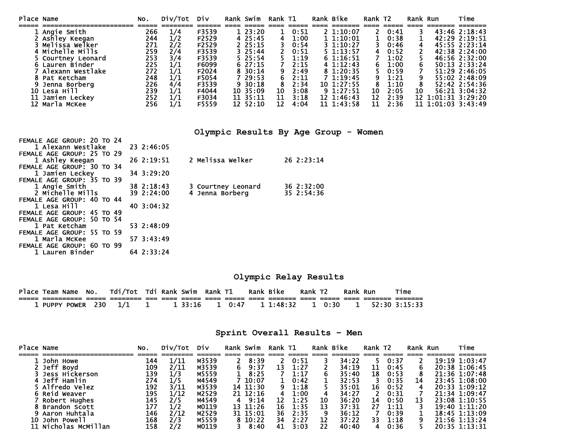| Place Name |                    | No. | Div/Tot | Div   | Rank Swim  | Rank T1 |      | Rank Bike     | Rank T2 |      | Rank Run |                 | Time               |
|------------|--------------------|-----|---------|-------|------------|---------|------|---------------|---------|------|----------|-----------------|--------------------|
|            |                    |     |         |       |            |         |      |               |         |      |          |                 |                    |
|            | Angie Smith        | 266 | 1/4     | F3539 | 1, 23:20   |         | 0:51 | $2\;1:10:07$  |         | 0:41 |          |                 | 43:46 2:18:43      |
|            | Ashley Keegan      | 244 | 1/2     | F2529 | 4 25:45    | 4       | 1:00 | 11:10:01      |         | 0:38 |          |                 | 42:29 2:19:51      |
|            | 3 Melissa Welker   | 271 | 2/2     | F2529 | $2\,25:15$ |         | 0:54 | $3 \t1:10:27$ |         | 0:46 | 4        |                 | 45:55 2:23:14      |
|            | 4 Michelle Mills   | 259 | 2/4     | F3539 | 325:44     |         | 0:51 | $5 \t1:13:57$ |         | 0:52 |          |                 | 42:38 2:24:00      |
|            | 5 Courtney Leonard | 253 | 3/4     | F3539 | 5 25:54    |         | 1:19 | 61:16:51      |         | 1:02 |          |                 | 46:56 2:32:00      |
|            | 6 Lauren Binder    | 225 | 1/1     | F6099 | 627:15     |         | 2:15 | 41:12:43      |         | 1:00 |          |                 | 50:13 2:33:24      |
|            | Alexann westlake   | 272 | 1/1     | F2024 | 8 30:14    |         | 2:49 | 8 1:20:35     |         | 0:59 |          |                 | 51:29 2:46:05      |
|            | Pat Ketcham        | 248 | 1/1     | F5054 | 7 29:53    |         | 2:11 | 1:19:45       |         | 1:21 |          |                 | 55:02 2:48:09      |
|            | Jenna Borberg      | 226 | 4/4     | F3539 | $9\,30:18$ |         | 2:34 | 10 1:27:55    |         | 1:10 |          |                 | 52:42 2:54:36      |
| 10-        | Lesa Hill          | 239 | 1/1     | F4044 | 10 35:09   | 10      | 3:08 | 9 1:27:51     | 10      | 2:05 | 10       |                 | 56:21 3:04:32      |
| 11         | Jamien Leckev      | 252 | 1/1     | F3034 | 11 35:11   | 11      | 3:18 | 12 1:46:43    | 12      | 2:39 | 12       | 1:01:31 3:29:20 |                    |
|            | 12 Marla McKee     | 256 | 1/1     | F5559 | 12 52:10   | 12      | 4:04 | 11 1:43:58    | 11      | 2:36 |          |                 | 11 1:01:03 3:43:49 |

**Olympic Results By Age Group - Women** 

| FEMALE AGE GROUP: 20 TO 24                    |            |                    |            |  |
|-----------------------------------------------|------------|--------------------|------------|--|
| 1 Alexann Westlake                            | 23 2:46:05 |                    |            |  |
| FEMALE AGE GROUP: 25 TO 29                    |            |                    |            |  |
| 1 Ashley Keegan                               | 26 2:19:51 | 2 Melissa Welker   | 26 2:23:14 |  |
| FEMALE AGE GROUP: 30 TO 34                    | 34 3:29:20 |                    |            |  |
| 1 Jamien Leckey<br>FEMALE AGE GROUP: 35 TO 39 |            |                    |            |  |
| 1 Angie Smith                                 | 38 2:18:43 | 3 Courtney Leonard | 36 2:32:00 |  |
| 2 Michelle Mills                              | 39 2:24:00 | 4 Jenna Borberg    | 35 2:54:36 |  |
| FEMALE AGE GROUP: 40 TO 44                    |            |                    |            |  |
| 1 Lesa Hill                                   | 40 3:04:32 |                    |            |  |
| FEMALE AGE GROUP: 45 TO 49                    |            |                    |            |  |
| FEMALE AGE GROUP: 50 TO 54                    |            |                    |            |  |
| 1 Pat Ketcham                                 | 53 2:48:09 |                    |            |  |
| FEMALE AGE GROUP: 55 TO 59                    |            |                    |            |  |
| 1 Marla McKee                                 | 57 3:43:49 |                    |            |  |
| FEMALE AGE GROUP: 60 TO 99                    |            |                    |            |  |
| 1 Lauren Binder                               | 64 2:33:24 |                    |            |  |

**Olympic Relay Results** 

| Place Team Name No. Tdi/Tot Tdi Rank Swim Rank T1 |       |  |         |      |      | Rank Bike |           | Rank T <sub>2</sub> |        | Rank Run | τime                          |
|---------------------------------------------------|-------|--|---------|------|------|-----------|-----------|---------------------|--------|----------|-------------------------------|
|                                                   |       |  |         | ==== |      |           | =======   |                     |        |          |                               |
| 1 PUPPY POWER 230                                 | - 1/1 |  | 1 33:16 |      | 0:47 |           | 1 1:48:32 |                     | 1 0:30 |          | $1 \quad 52:30 \quad 3:15:33$ |

|  |  | Sprint Overall Results - Men |  |
|--|--|------------------------------|--|
|--|--|------------------------------|--|

| Place Name |                      | No. | Div/Tot | Div   |    | Rank Swim | Rank T1 |      |    | Rank Bike | Rank T2 |      | Rank Run | Time              |
|------------|----------------------|-----|---------|-------|----|-----------|---------|------|----|-----------|---------|------|----------|-------------------|
|            |                      |     |         |       |    |           |         |      |    |           |         |      |          |                   |
|            | John Howe            | 144 | 1/11    | M3539 |    | 8:39      |         | 0:51 |    | 34:22     |         | 0:37 |          | 19:19 1:03:47     |
|            | Jeff Boyd            | 109 | 2/11    | M3539 | 6. | 9:37      | 13      | 1:27 |    | 34:19     | 11      | 0:45 |          | 20:38 1:06:45     |
|            | Jess Hickerson       | 139 |         | M5559 |    | 8:25      |         | 1:17 |    | 35:40     | 18      | 0:53 |          | 21:36 1:07:48     |
|            | 4 Jeff Hamlin        | 274 |         | M4549 |    | 7 10:07   |         | 0:42 |    | 32:53     |         | 0:35 | 14       | 23:45 1:08:00     |
|            | Alfredo Velez,       | 192 | 3/11    | M3539 |    | 14 11:30  |         | 1:18 |    | 35:01     | 16      | 0:52 |          | $20:33 \t1:09:12$ |
|            | 6 Reid Weaver        | 195 | 1/12    | M2529 |    | 21 12:16  | 4       | 1:00 |    | 34:27     |         | 0:31 |          | 21:34 1:09:47     |
|            | Robert Hughes        | 145 | 2/5     | M4549 | 4  | 9:14      | 12      | 1:25 | 10 | 36:20     | 14      | 0:50 | 13       | 23:08 1:10:55     |
|            | <b>Brandon Scott</b> | 177 |         | M0119 |    | 13 11:26  | 16      | 1:35 | 13 | 37:31     | 27      | 1:11 |          | 19:40 1:11:20     |
|            | Aaron Huhtala        | 146 | 2/12    | M2529 |    | 31 15:01  | 36      | 2:35 |    | 36:12     |         | 0:39 |          | $18:45$ $1:13:09$ |
| 10         | John Powell          | 168 | 2/3     | M5559 |    | 8 10:22   | 34      | 2:27 | 12 | 37:22     | 33      | 1:18 |          | 21:56 1:13:24     |
|            | 11 Nicholas McMillan | 158 | 2/2     | M0119 |    | 8:40      | 41      | 3:03 | 22 | 40:40     |         | 0:36 |          | 20:35 1:13:31     |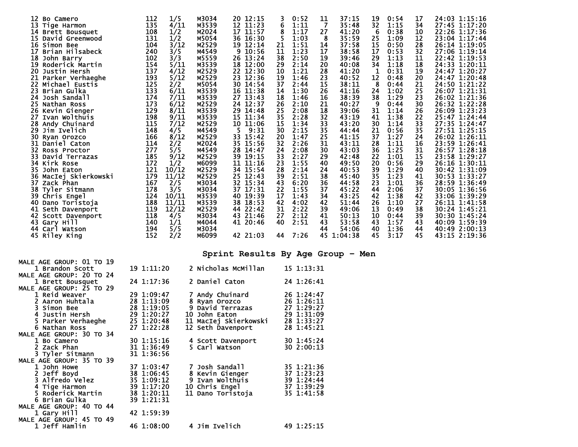| 12<br>Bo Camero        | 112 | 1/5   | M3034 | 20<br>12:15 |    | 0:52 | 11             | 37:15   | 19 | 0:54 | 17 | 24:03 1:15:16 |
|------------------------|-----|-------|-------|-------------|----|------|----------------|---------|----|------|----|---------------|
| 13 Tige Harmon         | 135 | 4/11  | M3539 | 12 11:23    | 6  | 1:11 | $\overline{7}$ | 35:48   | 32 | 1:15 | 34 | 27:45 1:17:20 |
| 14 Brett Bousquet      | 108 | 1/2   | M2024 | 17 11:57    | 8  | 1:17 | 27             | 41:20   | 6  | 0:38 | 10 | 22:26 1:17:36 |
| 15 David Greenwood     | 131 | 1/2   | M5054 | 36 16:30    | 5  | 1:03 | 8              | 35:59   | 25 | 1:09 | 12 | 23:04 1:17:44 |
| 16 Simon Bee           | 104 | 3/12  | M2529 | 19 12:14    | 21 | 1:51 | 14             | 37:58   | 15 | 0:50 | 28 | 26:14 1:19:05 |
| 17<br>Brian Hilsabeck  | 240 | 3/5   | M4549 | 10:56<br>9  | 11 | 1:23 | 17             | 38:58   | 17 | 0:53 | 32 | 27:06 1:19:14 |
| 18 John Barry          | 102 | 3/3   | M5559 | 26 13:24    | 38 | 2:50 | 19             | 39:46   | 29 | 1:13 | 11 | 22:42 1:19:53 |
| 19<br>Roderick Martin  | 154 | 5/11  | M3539 | 18 12:00    | 29 | 2:14 | 20             | 40:08   | 34 | 1:18 | 18 | 24:33 1:20:11 |
| 20<br>Justin Hersh     | 137 | 4/12  | M2529 | 22 12:30    | 10 | 1:21 | 28             | 41:20   | 1  | 0:31 | 19 | 24:47 1:20:27 |
| 21<br>Parker Verhaeghe | 193 | 5/12  | M2529 | 12:36<br>23 | 19 | 1:46 | 23             | 40:52   | 12 | 0:48 | 20 | 24:47 1:20:48 |
| 22.<br>Michael Eustis  | 125 | 2/2   | M5054 | 30<br>14:54 | 37 | 2:44 | 15             | 38:11   | 8  | 0:44 | 21 | 24:50 1:21:22 |
| 23.<br>Brian Gulka     | 133 | 6/11  | M3539 | 16 11:38    | 14 | 1:30 | 26             | 41:16   | 24 | 1:02 | 25 | 26:07 1:21:31 |
|                        | 174 |       |       | 27 13:43    | 18 | 1:46 | 16             | 38:39   | 38 | 1:29 | 23 | 26:02 1:21:36 |
| 24 Josh Sandall        |     | 7/11  | M3539 |             |    |      |                |         |    |      |    |               |
| 25 Nathan Ross         | 173 | 6/12  | M2529 | 24 12:37    | 26 | 2:10 | 21             | 40:27   | -9 | 0:44 | 30 | 26:32 1:22:28 |
| 26 Kevin Gienger       | 129 | 8/11  | M3539 | 29 14:48    | 25 | 2:08 | 18             | 39:06   | 31 | 1:14 | 26 | 26:09 1:23:23 |
| 27<br>Ivan Wolthuis    | 198 | 9/11  | M3539 | 11:34<br>15 | 35 | 2:28 | 32             | 43:19   | 41 | 1:38 | 22 | 25:47 1:24:44 |
| 28 Andy Chuinard       | 115 | 7/12  | M2529 | 10 11:06    | 15 | 1:34 | 33             | 43:20   | 30 | 1:14 | 33 | 27:35 1:24:47 |
| 29 Jim Ivelich         | 148 | 4/5   | M4549 | 9:31<br>5.  | 30 | 2:15 | 35             | 44:44   | 21 | 0:56 | 35 | 27:51 1:25:15 |
| 30<br>Ryan Orozco      | 166 | 8/12  | M2529 | 33 15:42    | 20 | 1:47 | 25             | 41:15   | 37 | 1:27 | 24 | 26:02 1:26:11 |
| 31 Daniel Caton        | 114 | 2/2   | M2024 | 35 15:56    | 32 | 2:26 | 31             | 43:11   | 28 | 1:11 | 16 | 23:59 1:26:41 |
| 32 Ross Proctor        | 277 | 5/5   | M4549 | 28 14:47    | 24 | 2:08 | 30             | 43:03   | 36 | 1:25 | 31 | 26:57 1:28:18 |
| 33 David Terrazas      | 185 | 9/12  | M2529 | 19:15<br>39 | 33 | 2:27 | 29             | 42:48   | 22 | 1:01 | 15 | 23:58 1:29:27 |
| 34 Kirk Rose           | 172 | 1/2   | M6099 | 11<br>11:16 | 23 | 1:55 | 40             | 49:50   | 20 | 0:56 | 29 | 26:16 1:30:11 |
| 35.<br>John Eaton      | 121 | 10/12 | M2529 | 34 15:54    | 28 | 2:14 | 24             | 40:53   | 39 | 1:29 | 40 | 30:42 1:31:09 |
| 36 MacIej Skierkowski  | 179 | 11/12 | M2529 | 25 12:43    | 39 | 2:51 | 38             | 45:40   | 35 | 1:23 | 41 | 30:53 1:33:27 |
| 37 Zack Phan           | 167 | 2/5   | M3034 | 32 15:34    | 43 | 6:20 | 36             | 44:58   | 23 | 1:01 | 36 | 28:59 1:36:49 |
| 38 Tyler Sitmann       | 178 | 3/5   | M3034 | 37 17:31    | 22 | 1:55 | 37             | 45:22   | 44 | 2:06 | 37 | 30:05 1:36:56 |
| 39 Chris Engel         | 124 | 10/11 | M3539 | 40 19:39    | 17 | 1:43 | 34             | 43:25   | 42 | 1:38 | 42 | 33:06 1:39:29 |
| 40 Dano Toristoja      | 188 | 11/11 | M3539 | 38<br>18:53 | 42 | 4:02 | 42             | 51:44   | 26 | 1:10 | 27 | 26:11 1:41:58 |
| 41 Seth Davenport      | 119 | 12/12 | M2529 | 44 22:42    | 31 | 2:22 | 39             | 49:06   | 13 | 0:49 | 38 | 30:24 1:45:21 |
| 42 Scott Davenport     | 118 | 4/5   | M3034 | 43 21:46    | 27 | 2:12 | 41             | 50:13   | 10 | 0:44 | 39 | 30:30 1:45:24 |
| 43 Gary Hill           | 140 | 1/1   | M4044 | 41 20:46    | 40 | 2:51 | 43             | 53:58   | 43 | 1:57 | 43 | 40:09 1:59:39 |
| 44 Carl Watson         | 194 | 5/5   | M3034 |             |    |      | 44             | 54:06   | 40 | 1:36 | 44 | 40:49 2:00:13 |
| 45 Riley King          | 152 | 2/2   | M6099 | 42 21:03    | 44 | 7:26 | 45             | 1:04:38 | 45 | 3:17 | 45 | 43:15 2:19:36 |
|                        |     |       |       |             |    |      |                |         |    |      |    |               |
|                        |     |       |       |             |    |      |                |         |    |      |    |               |

**Sprint Results By Age Group – Men** 

| MALE AGE GROUP: 01 TO 19 |            |                                                                                         |            |
|--------------------------|------------|-----------------------------------------------------------------------------------------|------------|
| 1 Brandon Scott          | 19 1:11:20 | 2 Nicholas McMillan                                                                     | 15 1:13:31 |
| MALE AGE GROUP: 20 TO 24 |            |                                                                                         |            |
| 1 Brett Bousquet         | 24 1:17:36 | 2 Daniel Caton                                                                          | 24 1:26:41 |
| MALE AGE GROUP: 25 TO 29 |            |                                                                                         |            |
| 1 Reid Weaver            | 29 1:09:47 | <b>7 Andy Chuinard</b>                                                                  | 26 1:24:47 |
| 2 Aaron Huhtala          | 28 1:13:09 | 8 Ryan Orozco                                                                           | 26 1:26:11 |
| 3 Simon Bee              | 28 1:19:05 | 9 David Terrazas                                                                        | 27 1:29:27 |
| 4 Justin Hersh           | 29 1:20:27 | 10 John Eaton                                                                           | 29 1:31:09 |
| 5 Parker Verhaeghe       | 25 1:20:48 | 11 MacIej Skierkowski                                                                   | 28 1:33:27 |
| 6 Nathan Ross            | 27 1:22:28 | 12 Seth Davenport                                                                       | 28 1:45:21 |
| MALE AGE GROUP: 30 TO 34 |            |                                                                                         |            |
| 1 Bo Camero              | 30 1:15:16 | 4 Scott Davenport                                                                       | 30 1:45:24 |
| 2 Zack Phan              | 31 1:36:49 | 5 Carl Watson                                                                           | 30 2:00:13 |
| 3 Tyler Sitmann          | 31 1:36:56 |                                                                                         |            |
| MALE AGE GROUP: 35 TO 39 |            |                                                                                         |            |
| 1 John Howe              | 37 1:03:47 | 7 Josh Sandall                                                                          | 35 1:21:36 |
| 2 Jeff Boyd              | 38 1:06:45 | 8 Kevin Gienger                                                                         | 37 1:23:23 |
| <b>3 Alfredo Velez</b>   | 35 1:09:12 |                                                                                         |            |
| 4 Tige Harmon            | 39 1:17:20 |                                                                                         |            |
| 5 Roderick Martin        | 38 1:20:11 | 9 Ivan Wolthuis 39 1:24:44<br>10 Chris Engel 37 1:39:29<br>11 Dano Toristoja 35 1:41:58 |            |
| 6 Brian Gulka            | 39 1:21:31 |                                                                                         |            |
| MALE AGE GROUP: 40 TO 44 |            |                                                                                         |            |
| 1 Gary Hill              | 42 1:59:39 |                                                                                         |            |
| MALE AGE GROUP: 45 TO 49 |            |                                                                                         |            |
| 1 Jeff Hamlin            | 46 1:08:00 | 4 Jim Ivelich                                                                           | 49 1:25:15 |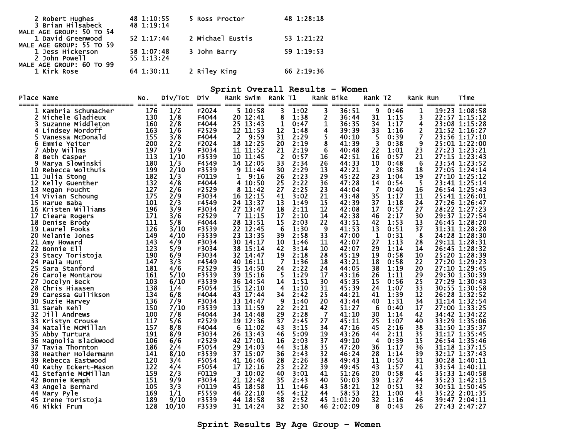| 2 Robert Hughes<br>3 Brian Hilsabeck                                      | 48 1:10:55<br>48 1:19:14 | 5 Ross Proctor   | 48 1:28:18 |
|---------------------------------------------------------------------------|--------------------------|------------------|------------|
| MALE AGE GROUP: 50 TO 54<br>1 David Greenwood<br>MALE AGE GROUP: 55 TO 59 | 52 1:17:44               | 2 Michael Eustis | 53 1:21:22 |
| 1 Jess Hickerson<br>2 John Powell                                         | 58 1:07:48<br>55 1:13:24 | 3 John Barry     | 59 1:19:53 |
| MALE AGE GROUP: 60 TO 99<br>1 Kirk Rose                                   | 64 1:30:11               | 2 Riley King     | 66 2:19:36 |

#### **Sprint Overall Results – Women**

| <b>Place Name</b> | ----------------------               | NO.<br>===== | Div/Tot<br><b>Experience</b> | Div<br>======  | ==== | Rank Swim<br>=====   | Rank T1                 | =====        | $=$ $=$ $=$ $=$ | Rank Bike<br>======= | Rank T2<br>$====$    | $\qquad \qquad \overline{\qquad \qquad }=$ | Rank Run<br>$====$ | ======== ======= | Time                           |
|-------------------|--------------------------------------|--------------|------------------------------|----------------|------|----------------------|-------------------------|--------------|-----------------|----------------------|----------------------|--------------------------------------------|--------------------|------------------|--------------------------------|
|                   | Kambria Schumacher                   | 176          | 1/2                          | F2024          |      | 5 10:58              | 3                       | 1:02         | 3               | 36:51                | 9                    | 0:46                                       | 1                  |                  | 19:23 1:08:58                  |
| 2                 | Michele Gladieux                     | 130          | 1/8                          | F4044          |      | 20 12:41             | 8                       | 1:38         | $\overline{2}$  | 36:44                | 31                   | 1:15                                       | 3                  |                  | 22:57 1:15:12                  |
|                   | Suzanne Middleton                    | 160          | 2/8                          | F4044          |      | 25 13:43             | 1                       | 0:47         | 1               | 36:35                | 34                   | 1:17                                       | 4                  |                  | 23:08 1:15:28                  |
|                   | 4 Lindsey Mordoff                    | 163          | 1/6                          | F2529          |      | 12 11:53             | 12                      | 1:48         | 4               | 39:39                | 33                   | 1:16                                       | 2                  |                  | 21:52 1:16:27                  |
|                   | Vanessa McDonald                     | 155          | 3/8                          | F4044          | 2    | 9:59                 | 31                      | 2:29         | 5               | 40:10                | 5                    | 0:39                                       | 7                  |                  | 23:56 1:17:10                  |
| 6                 | Emmie Yeiter                         | 200          | 2/2                          | F2024          |      | 18 12:25             | 20                      | 2:19         | 8               | 41:39                | 3                    | 0:38                                       | 9                  |                  | 25:01 1:22:00                  |
|                   | Abby Willms                          | 197          | 1/9                          | F3034          |      | 11 11:52             | 21                      | 2:19         | 6               | 40:48                | 22                   | 1:01                                       | 23                 |                  | 27:23 1:23:21                  |
|                   | Beth Casper                          | 113          | 1/10                         | F3539          |      | 10 11:45             | $\overline{\mathbf{2}}$ | 0:57         | 16              | 42:51                | 16                   | 0:57                                       | 21                 |                  | 27:15 1:23:43                  |
| 9                 | Marya Slowinski                      | 180          | 1/3                          | F4549          |      | 14 12:05             | 33                      | 2:34         | 26              | 44:33                | 10                   | 0:48                                       | -6                 |                  | 23:54 1:23:52                  |
|                   | 10 Rebecca Wolthuis                  | 199          | 2/10                         | F3539          | 9    | 11:44                | 30                      | 2:29         | 13              | 42:21                | -2                   | 0:38                                       | 18                 |                  | 27:05 1:24:14                  |
| 11                | Julia Stong                          | 182          | 1/3                          | F0119          | 1    | 9:16                 | 26                      | 2:23         | 29              | 45:22                | 23                   | 1:04                                       | 19                 |                  | 27:10 1:25:12                  |
| 12                | Kelly Guenther                       | 132<br>127   | 4/8                          | F4044<br>F2529 | 4    | 10:50                | 25<br>27                | 2:22<br>2:25 | 36<br>23        | 47:28<br>44:04       | 14<br>$\overline{7}$ | 0:54                                       | -5                 |                  | 23:41 1:25:14<br>26:54 1:25:43 |
| 13                | Megan Foucht                         | 175          | 2/6                          | F3034          | 8    | 11:42                |                         |              |                 |                      |                      | 0:40<br>1:17                               | 16                 |                  |                                |
|                   | 14 Vivian Schoung                    | 101          | 2/9                          | F4549          |      | 16 12:15<br>24 13:37 | 41<br>13                | 3:02<br>1:49 | 21<br>15        | 43:48<br>42:39       | 35<br>37             | 1:18                                       | 11<br>24           |                  | 25:41 1:26:01                  |
|                   | 15 Harue Baba<br>16 Kristen Williams | 196          | 2/3<br>3/9                   | F3034          |      | 27 13:47             | 18                      | 2:11         | 12              | 42:08                | 17                   | 0:57                                       | 27                 |                  | 27:26 1:26:47<br>28:22 1:27:23 |
| 17                |                                      | 171          | 3/6                          | F2529          | 7    | 11:15                | 17                      | 2:10         | 14              | 42:38                | 46                   | 2:17                                       | 30                 |                  | 29:37 1:27:54                  |
|                   | Cieara Rogers<br>18 Denise Brody     | 111          | 5/8                          | F4044          |      | 28 13:51             | 15                      | 2:03         | 22              | 43:51                | 42                   | 1:53                                       | 13                 |                  | 26:45 1:28:20                  |
|                   | <b>19 Laurel Fooks</b>               | 126          | 3/10                         | F3539          |      | 22 12:45             | 6                       | 1:30         | 9               | 41:53                | 13                   | 0:51                                       | 37                 |                  | 31:31 1:28:28                  |
| 20.               | Melanie Jones                        | 149          | 4/10                         | F3539          |      | 23 13:35             | 39                      | 2:58         | 33              | 47:00                | 1                    | 0:31                                       | -8                 |                  | 24:28 1:28:30                  |
| 21                | Amy Howard                           | 143          | 4/9                          | F3034          |      | 30 14:17             | 10                      | 1:46         | 11              | 42:07                | 27                   | 1:13                                       | 28                 |                  | 29:11 1:28:31                  |
| 22                | <b>Bonnie Ell</b>                    | 123          | 5/9                          | F3034          |      | 38 15:14             | 42                      | 3:14         | 10              | 42:07                | 29                   | 1:14                                       | 14                 |                  | 26:45 1:28:32                  |
| 23.               | Stacy Toristoja                      | 190          | 6/9                          | F3034          |      | 32 14:47             | 19                      | 2:18         | 28              | 45:19                | 19                   | 0:58                                       | 10                 |                  | 25:20 1:28:39                  |
| 24                | Paula Hunt                           | 147          | 3/3                          | F4549          | 40   | 16:11                | $\overline{7}$          | 1:36         | 18              | 43:21                | 18                   | 0:58                                       | 22                 |                  | 27:20 1:29:23                  |
|                   | 25 Sara Stanford                     | 181          | 4/6                          | F2529          |      | 35 14:50             | 24                      | 2:22         | 24              | 44:05                | 38                   | 1:19                                       | 20                 |                  | 27:10 1:29:45                  |
| 26                | Carole Montarou                      | 161          | 5/10                         | F3539          | 39.  | 15:16                | -5                      | 1:29         | 17              | 43:16                | 26                   | 1:11                                       | 29                 |                  | 29:30 1:30:39                  |
| 27                | Jocelyn Beck                         | 103          | 6/10                         | F3539          | 36   | 14:54                | 14                      | 1:51         | 30              | 45:35                | 15                   | 0:56                                       | 25                 |                  | 27:29 1:30:43                  |
| 28                | Chris Hiaasen                        | 138          | 1/4                          | F5054          |      | 15 12:10             | 4                       | 1:10         | 31              | 45:39                | 24                   | 1:07                                       | 33                 |                  | 30:55 1:30:58                  |
| 29.               | Caressa Gullikson                    | 134          | 6/8                          | F4044          |      | 43 17:44             | 34                      | 2:42         | 25              | 44:21                | 41                   | 1:39                                       | 12                 |                  | 26:28 1:32:52                  |
| 30                | Suzie Harvey                         | 136          | 7/9                          | F3034          | 33.  | 14:47                | 9                       | 1:40         | 20              | 43:44                | 40                   | 1:31                                       | 34                 |                  | $31:14$ 1:32:54                |
|                   | 31 Sarah Kehl                        | 150          | 7/10                         | F3539          |      | 13 11:59             | 22                      | 2:21         | 42              | 51:27                | 6                    | 0:40                                       | 17                 |                  | 27:00 1:33:25                  |
| 32                | Jill Andrews                         | 100          | 7/8                          | F4044          | 34   | 14:48                | 29                      | 2:28         | -7              | 41:10                | 30                   | 1:14                                       | 42                 |                  | 34:42 1:34:22                  |
|                   | 33 Kristyn Crouse                    | 117          | 5/6                          | F2529          |      | 19 12:36             | 37                      | 2:45         | 27              | 45:11                | 25                   | 1:07                                       | 40                 |                  | 33:29 1:35:06                  |
| 34.               | Natalie McMillan                     | 157          | 8/8                          | F4044          | 6.   | 11:02                | 43                      | 3:15         | 34              | 47:16                | 45                   | 2:16                                       | 38                 |                  | 31:50 1:35:37                  |
| 35.               | Abby Turtura                         | 191          | 8/9                          | F3034          |      | 26 13:43             | 46                      | 5:09         | 19              | 43:26                | 44                   | 2:11                                       | 35                 |                  | 31:17 1:35:45                  |
| 36.               | Magnolia Blackwood                   | 106          | 6/6                          | F2529          |      | 42 17:01             | 16                      | 2:03         | 37              | 49:10                | 4                    | 0:39                                       | 15                 |                  | 26:54 1:35:46                  |
| 37                | Tavia Thornton                       | 186          | 2/4                          | F5054          |      | 29 14:03             | 44                      | 3:18         | 35              | 47:20                | 36                   | 1:17                                       | 36                 |                  | 31:18 1:37:15                  |
|                   | 38 Heather Holdermann                | 141          | 8/10                         | F3539          |      | 37 15:07             | 36                      | 2:43         | 32              | 46:24                | 28                   | 1:14                                       | 39                 |                  | 32:17 1:37:43                  |
| 39.               | Rebecca Eastwood                     | 120          | 3/4                          | F5054          |      | 41 16:46             | 28                      | 2:26         | 38              | 49:43                | 11                   | 0:50                                       | 31                 |                  | 30:28 1:40:11                  |
|                   | 40 Kathy Eckert-Mason                | 122          | 4/4                          | F5054          |      | 17 12:16             | 23                      | 2:22         | 39              | 49:45                | 43                   | 1:57                                       | 41                 |                  | 33:54 1:40:11                  |
| 41                | Stefanie McMillan                    | 159          | 2/3                          | F0119          | 3.   | 10:02                | 40                      | 3:01         | 41              | 51:26                | 20                   | 0:58                                       | 45                 |                  | 35:33 1:40:58                  |
|                   | 42 Bonnie Kemph                      | 151          | 9/9                          | F3034          |      | 21 12:42             | 35                      | 2:43         | 40              | 50:03                | 39                   | 1:27                                       | 44                 |                  | 35:23 1:42:15                  |
| 43                | Angela Bernard                       | 105          | 3/3                          | F0119          |      | 45 18:58             | 11                      | 1:46         | 43              | 58:21                | 12                   | 0:51                                       | 32                 |                  | 30:51 1:50:45                  |
|                   | 44 Mary Pyle                         | 169          | 1/1                          | F5559          |      | 46 22:10             | 45                      | 4:12         | 44              | 58:53                | 21                   | 1:00                                       | 43                 |                  | 35:22 2:01:35                  |
|                   | 45 Irene Toristoja                   | 189          | 9/10                         | F3539          |      | 44 18:58             | 38                      | 2:52         |                 | 45 1:01:20           | 32                   | 1:16                                       | 46                 |                  | 39:47 2:04:11                  |
|                   | 46 Nikki Frum                        | 128          | 10/10                        | F3539          |      | 31 14:24             | 32                      | 2:30         |                 | 46 2:02:09           | 8                    | 0:43                                       | 26                 |                  | 27:43 2:47:27                  |